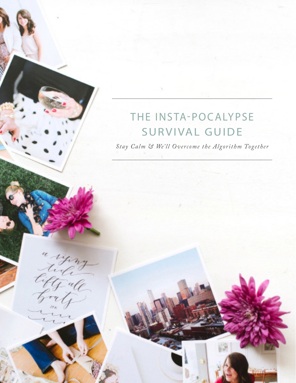# THE INSTA-POCALYPSE SURVIVAL GUIDE

*Stay Calm & We'll Overcome the Algorithm Together*

ying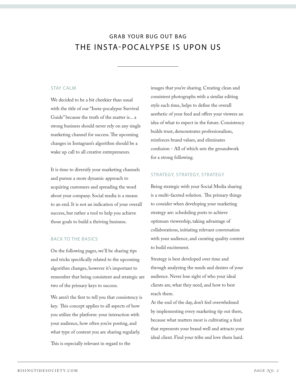# GRAB YOUR BUG OUT BAG THE INSTA-POCALYPSE IS UPON US

### STAY CALM

We decided to be a bit cheekier than usual with the title of our "Insta-pocalypse Survival Guide" because the truth of the matter is... a strong business should never rely on any single marketing channel for success. The upcoming changes in Instagram's algorithm should be a wake up call to all creative entrepreneurs.

It is time to diversify your marketing channels and pursue a more dynamic approach to acquiring customers and spreading the word about your company. Social media is a means to an end. It is not an indication of your overall success, but rather a tool to help you achieve those goals to build a thriving business.

### BACK TO THE BASICS

On the following pages, we'll be sharing tips and tricks specifically related to the upcoming algorithm changes, however it's important to remember that being consistent and strategic are two of the primary keys to success.

We aren't the first to tell you that consistency is key. This concept applies to all aspects of how you utilize the platform: your interaction with your audience, how often you're posting, and what type of content you are sharing regularly.

This is especially relevant in regard to the

images that you're sharing. Creating clean and consistent photographs with a similar editing style each time, helps to define the overall aesthetic of your feed and offers your viewers an idea of what to expect in the future. Consistency builds trust, demonstrates professionalism, reinforces brand values, and eliminates confusion - All of which sets the groundwork for a strong following.

### STRATEGY, STRATEGY, STRATEGY

Being strategic with your Social Media sharing is a multi-faceted solution. The primary things to consider when developing your marketing strategy are: scheduling posts to achieve optimum viewership, taking advantage of collaborations, initiating relevant conversation with your audience, and curating quality content to build excitement.

Strategy is best developed over time and through analyzing the needs and desires of your audience. Never lose sight of who your ideal clients are, what they need, and how to best reach them.

At the end of the day, don't feel overwhelmed by implementing every marketing tip out there, because what matters most is cultivating a feed that represents your brand well and attracts your ideal client. Find your tribe and love them hard.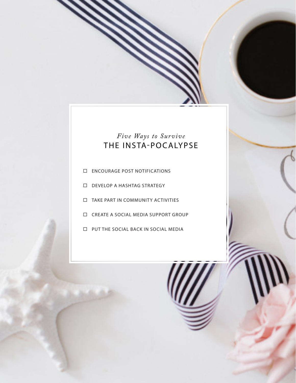# *Five Ways to Survive* THE INSTA-POCALYPSE

- ENCOURAGE POST NOTIFICATIONS
- DEVELOP A HASHTAG STRATEGY
- TAKE PART IN COMMUNITY ACTIVITIES
- CREATE A SOCIAL MEDIA SUPPORT GROUP
- □ PUT THE SOCIAL BACK IN SOCIAL MEDIA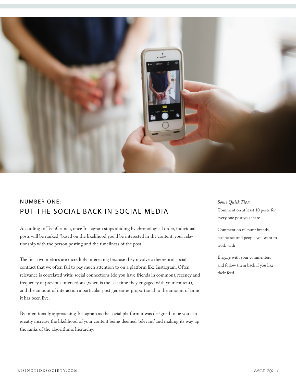

### NUMBER ONE: PUT THE SOCIAL BACK IN SOCIAL MEDIA

According to TechCrunch, once Instagram stops abiding by chronological order, individual posts will be ranked "based on the likelihood you'll be interested in the content, your relationship with the person posting and the timeliness of the post."

The first two metrics are incredibly interesting because they involve a theoretical social contract that we often fail to pay much attention to on a platform like Instagram. Often relevance is correlated with: social connections (do you have friends in common), recency and frequency of previous interactions (when is the last time they engaged with your content), and the amount of interaction a particular post generates proportional to the amount of time it has been live.

By intentionally approaching Instagram as the social platform it was designed to be you can greatly increase the likelihood of your content being deemed 'relevant' and making its way up the ranks of the algorithmic hierarchy.

### *Some Quick Tips:*

Comment on at least 10 posts for every one post you share

Comment on relevant brands, businesses and people you want to work with

Engage with your commenters and follow them back if you like their feed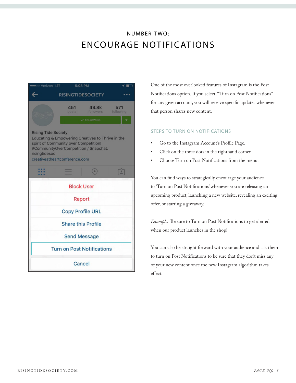# NUMBER TWO: ENCOURAGE NOTIFICATIONS

| <b>eco</b> Verizon LTE<br>5:08 PM                                                                                                                                                                                   |              |                    |                  |
|---------------------------------------------------------------------------------------------------------------------------------------------------------------------------------------------------------------------|--------------|--------------------|------------------|
| <b>RISINGTIDESOCIETY</b>                                                                                                                                                                                            |              |                    |                  |
|                                                                                                                                                                                                                     | 451<br>posts | 49.8k<br>followers | 571<br>following |
|                                                                                                                                                                                                                     |              | V FOLLOWING        |                  |
| <b>Rising Tide Society</b><br>Educating & Empowering Creatives to Thrive in the<br>spirit of Community over Competition!<br>#CommunityOverCompetition / Snapchat:<br>risingtidesoc<br>creativeatheartconference.com |              |                    |                  |
|                                                                                                                                                                                                                     |              | ۰                  | $\mathbb{L}$     |
| <b>Block User</b>                                                                                                                                                                                                   |              |                    |                  |
| Report                                                                                                                                                                                                              |              |                    |                  |
| <b>Copy Profile URL</b>                                                                                                                                                                                             |              |                    |                  |
| <b>Share this Profile</b>                                                                                                                                                                                           |              |                    |                  |
| <b>Send Message</b>                                                                                                                                                                                                 |              |                    |                  |
| <b>Turn on Post Notifications</b>                                                                                                                                                                                   |              |                    |                  |
| Cancel                                                                                                                                                                                                              |              |                    |                  |

One of the most overlooked features of Instagram is the Post Notifications option. If you select, "Turn on Post Notifications" for any given account, you will receive specific updates whenever that person shares new content.

### STEPS TO TURN ON NOTIFICATIONS

- Go to the Instagram Account's Profile Page.
- Click on the three dots in the righthand corner.
- Choose Turn on Post Notifications from the menu.

You can find ways to strategically encourage your audience to 'Turn on Post Notifications' whenever you are releasing an upcoming product, launching a new website, revealing an exciting offer, or starting a giveaway.

*Example:* Be sure to Turn on Post Notifications to get alerted when our product launches in the shop!

You can also be straight forward with your audience and ask them to turn on Post Notifications to be sure that they don't miss any of your new content once the new Instagram algorithm takes effect.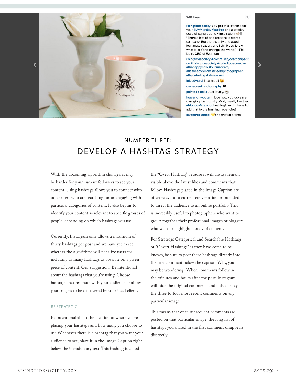

#### 240 likes

risingtidesociety You got this. It's time for your #MyMondayMugshot and a weekly dose of camaraderie + inspiration. "There's lots of bad reasons to start a company. But there's only one good, legitimate reason, and I think you know what it is: it's to change the world." - Phil Libin, CEO of Evernote

risingtidesociety #communityovercompetiti on #risingtidesociety #calledtobecreative #thehappynow #pursuepretty #flashesofdelight #lifeofaphotographer #thatsdarling #ohwowyes

⋗

luluedward That mug!!

cranecreekphotography ♥

paintedplanks Just lovely.

howertonwooten I love how you guys are changing the industry. And, I really like the #MondayMugshot hashtag! I might have to add that to the hashtag repertoire!

levanamelamed vone shot at a time!

# NUMBER THREE: DEVELOP A HASHTAG STRATEGY

With the upcoming algorithm changes, it may be harder for your current followers to see your content. Using hashtags allows you to connect with other users who are searching for or engaging with particular categories of content. It also begins to identify your content as relevant to specific groups of people, depending on which hashtags you use.

Currently, Instagram only allows a maximum of thirty hashtags per post and we have yet to see whether the algorithms will penalize users for including as many hashtags as possible on a given piece of content. Our suggestion? Be intentional about the hashtags that you're using. Choose hashtags that resonate with your audience or allow your images to be discovered by your ideal client.

#### BE STRATEGIC

Be intentional about the location of where you're placing your hashtags and how many you choose to use.Whenever there is a hashtag that you want your audience to see, place it in the Image Caption right below the introductory text. This hashtag is called

the "Overt Hashtag" because it will always remain visible above the latest likes and comments that follow. Hashtags placed in the Image Caption are often relevant to current conversation or intended to direct the audience to an online portfolio. This is incredibly useful to photographers who want to group together their professional images or bloggers who want to highlight a body of content.

For Strategic Categorical and Searchable Hashtags or "Covert Hashtags" as they have come to be known, be sure to post these hashtags directly into the first comment below the caption. Why, you may be wondering? When comments follow in the minutes and hours after the post, Instagram will hide the original comments and only displays the three to four most recent comments on any particular image.

This means that once subsequent comments are posted on that particular image, the long list of hashtags you shared in the first comment disappears discreetly!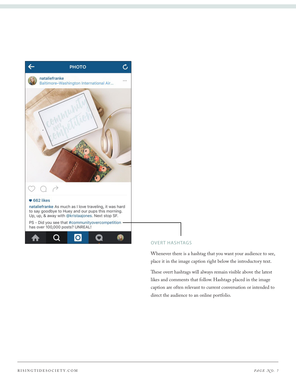

### OVERT HASHTAGS

Whenever there is a hashtag that you want your audience to see, place it in the image caption right below the introductory text.

These overt hashtags will always remain visible above the latest likes and comments that follow. Hashtags placed in the image caption are often relevant to current conversation or intended to direct the audience to an online portfolio.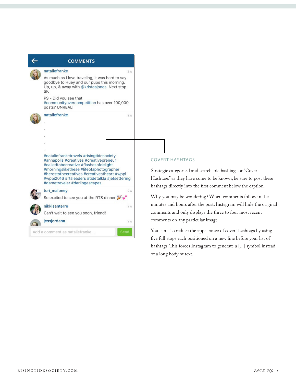

### COVERT HASHTAGS

Strategic categorical and searchable hashtags or "Covert Hashtags" as they have come to be known, be sure to post these hashtags directly into the first comment below the caption.

Why, you may be wondering? When comments follow in the minutes and hours after the post, Instagram will hide the original comments and only displays the three to four most recent comments on any particular image.

You can also reduce the appearance of covert hashtags by using five full stops each positioned on a new line before your list of hashtags. This forces Instagram to generate a [...] symbol instead of a long body of text.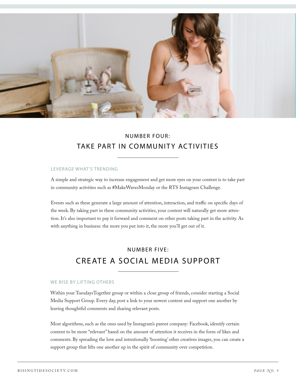

### NUMBER FOUR: TAKE PART IN COMMUNITY ACTIVITIES

### LEVERAGE WHAT'S TRENDING

A simple and strategic way to increase engagement and get more eyes on your content is to take part in community activities such as #MakeWavesMonday or the RTS Instagram Challenge.

Events such as these generate a large amount of attention, interaction, and traffic on specific days of the week. By taking part in these community activities, your content will naturally get more attention. It's also important to pay it forward and comment on other posts taking part in the activity. As with anything in business: the more you put into it, the more you'll get out of it.

## NUMBER FIVE: CREATE A SOCIAL MEDIA SUPPORT

### WE RISE BY LIFTING OTHERS

Within your TuesdaysTogether group or within a close group of friends, consider starting a Social Media Support Group. Every day, post a link to your newest content and support one another by leaving thoughtful comments and sharing relevant posts.

Most algorithms, such as the ones used by Instagram's parent company: Facebook, identify certain content to be more "relevant" based on the amount of attention it receives in the form of likes and comments. By spreading the love and intentionally 'boosting' other creatives images, you can create a support group that lifts one another up in the spirit of community over competition.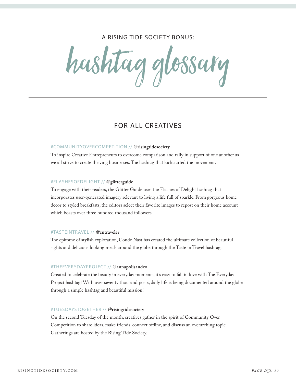### A RISING TIDE SOCIETY BONUS:

hashtag glossary

### FOR ALL CREATIVES

### #COMMUNITYOVERCOMPETITION // **@risingtidesociety**

To inspire Creative Entrepreneurs to overcome comparison and rally in support of one another as we all strive to create thriving businesses. The hashtag that kickstarted the movement.

#### #FLASHESOFDELIGHT // **@glitterguide**

To engage with their readers, the Glitter Guide uses the Flashes of Delight hashtag that incorporates user-generated imagery relevant to living a life full of sparkle. From gorgeous home decor to styled breakfasts, the editors select their favorite images to repost on their home account which boasts over three hundred thousand followers.

### #TASTEINTRAVEL // **@cntraveler**

The epitome of stylish exploration, Conde Nast has created the ultimate collection of beautiful sights and delicious looking meals around the globe through the Taste in Travel hashtag.

#### #THEEVERYDAYPROJECT // **@annapolisandco**

Created to celebrate the beauty in everyday moments, it's easy to fall in love with The Everyday Project hashtag! With over seventy thousand posts, daily life is being documented around the globe through a simple hashtag and beautiful mission!

#### #TUESDAYSTOGETHER // **@risingtidesociety**

On the second Tuesday of the month, creatives gather in the spirit of Community Over Competition to share ideas, make friends, connect offline, and discuss an overarching topic. Gatherings are hosted by the Rising Tide Society.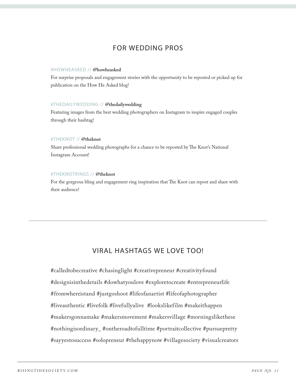### FOR WEDDING PROS

### #HOWHEASKED // **@howheasked**

For surprise proposals and engagement stories with the opportunity to be reposted or picked up for publication on the How He Asked blog!

### #THEDAILYWEDDING // **@thedailywedding**

Featuring images from the best wedding photographers on Instagram to inspire engaged couples through their hashtag!

### #THEKNOT // **@theknot**

Share professional wedding photographs for a chance to be reposted by The Knot's National Instagram Account!

### #THEKNOTRINGS // **@theknot**

For the gorgeous bling and engagement ring inspiration that The Knot can repost and share with their audience!

### VIRAL HASHTAGS WE LOVE TOO!

#calledtobecreative #chasinglight #creativepreneur #creativityfound #designisinthedetails #dowhatyoulove #exploretocreate #entrepreneurlife #fromwhereistand #justgoshoot #lifeofanartist #lifeofaphotographer #liveauthentic #livefolk #livefullyalive #lookslikefilm #makeithappen #makersgonnamake #makersmovement #makersvillage #morningslikethese #nothingisordinary\_ #ontheroadtofulltime #portraitcollective #pursuepretty #sayyestosuccess #solopreneur #thehappynow #villagesociety #visualcreators